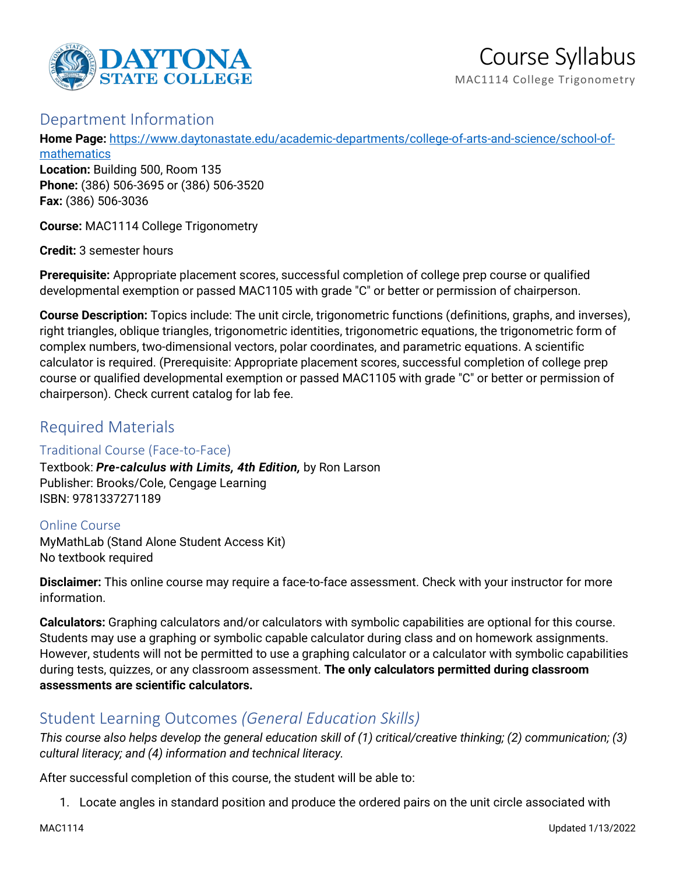

## Department Information

**Home Page:** [https://www.daytonastate.edu/academic-departments/college-of-arts-and-science/school-of-](https://www.daytonastate.edu/academic-departments/college-of-arts-and-science/school-of-mathematics)

[mathematics](https://www.daytonastate.edu/academic-departments/college-of-arts-and-science/school-of-mathematics) **Location:** Building 500, Room 135 **Phone:** (386) 506-3695 or (386) 506-3520 **Fax:** (386) 506-3036

**Course:** MAC1114 College Trigonometry

**Credit:** 3 semester hours

**Prerequisite:** Appropriate placement scores, successful completion of college prep course or qualified developmental exemption or passed MAC1105 with grade "C" or better or permission of chairperson.

**Course Description:** Topics include: The unit circle, trigonometric functions (definitions, graphs, and inverses), right triangles, oblique triangles, trigonometric identities, trigonometric equations, the trigonometric form of complex numbers, two-dimensional vectors, polar coordinates, and parametric equations. A scientific calculator is required. (Prerequisite: Appropriate placement scores, successful completion of college prep course or qualified developmental exemption or passed MAC1105 with grade "C" or better or permission of chairperson). Check current catalog for lab fee.

# Required Materials

### Traditional Course (Face-to-Face)

Textbook: *Pre-calculus with Limits, 4th Edition,* by Ron Larson Publisher: Brooks/Cole, Cengage Learning ISBN: 9781337271189

Online Course MyMathLab (Stand Alone Student Access Kit) No textbook required

**Disclaimer:** This online course may require a face-to-face assessment. Check with your instructor for more information.

**Calculators:** Graphing calculators and/or calculators with symbolic capabilities are optional for this course. Students may use a graphing or symbolic capable calculator during class and on homework assignments. However, students will not be permitted to use a graphing calculator or a calculator with symbolic capabilities during tests, quizzes, or any classroom assessment. **The only calculators permitted during classroom assessments are scientific calculators.**

# Student Learning Outcomes *(General Education Skills)*

*This course also helps develop the general education skill of (1) critical/creative thinking; (2) communication; (3) cultural literacy; and (4) information and technical literacy.*

After successful completion of this course, the student will be able to:

1. Locate angles in standard position and produce the ordered pairs on the unit circle associated with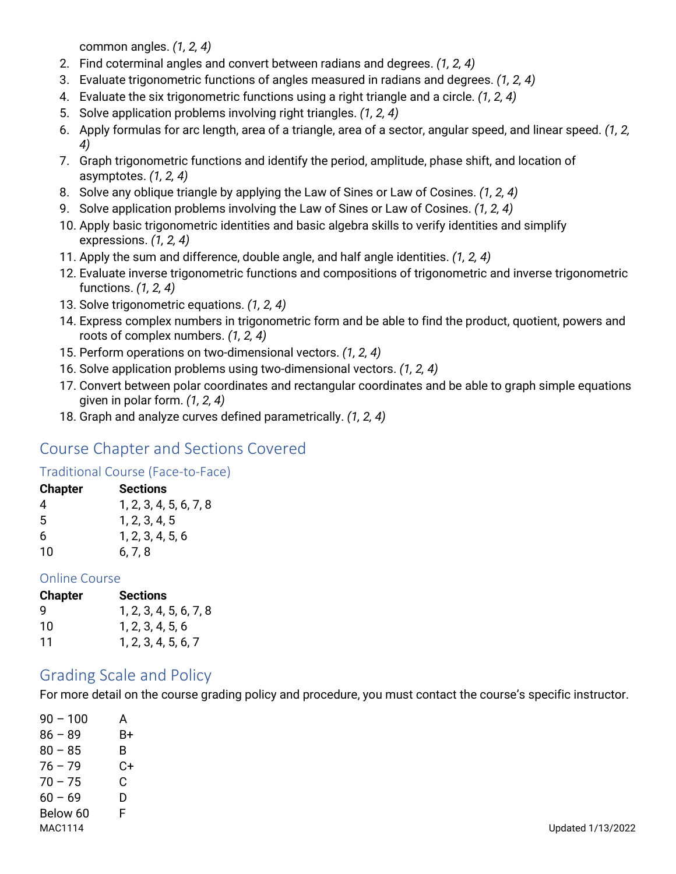common angles. *(1, 2, 4)*

- 2. Find coterminal angles and convert between radians and degrees. *(1, 2, 4)*
- 3. Evaluate trigonometric functions of angles measured in radians and degrees. *(1, 2, 4)*
- 4. Evaluate the six trigonometric functions using a right triangle and a circle. *(1, 2, 4)*
- 5. Solve application problems involving right triangles. *(1, 2, 4)*
- 6. Apply formulas for arc length, area of a triangle, area of a sector, angular speed, and linear speed. *(1, 2, 4)*
- 7. Graph trigonometric functions and identify the period, amplitude, phase shift, and location of asymptotes. *(1, 2, 4)*
- 8. Solve any oblique triangle by applying the Law of Sines or Law of Cosines. *(1, 2, 4)*
- 9. Solve application problems involving the Law of Sines or Law of Cosines. *(1, 2, 4)*
- 10. Apply basic trigonometric identities and basic algebra skills to verify identities and simplify expressions. *(1, 2, 4)*
- 11. Apply the sum and difference, double angle, and half angle identities. *(1, 2, 4)*
- 12. Evaluate inverse trigonometric functions and compositions of trigonometric and inverse trigonometric functions. *(1, 2, 4)*
- 13. Solve trigonometric equations. *(1, 2, 4)*
- 14. Express complex numbers in trigonometric form and be able to find the product, quotient, powers and roots of complex numbers. *(1, 2, 4)*
- 15. Perform operations on two-dimensional vectors. *(1, 2, 4)*
- 16. Solve application problems using two-dimensional vectors. *(1, 2, 4)*
- 17. Convert between polar coordinates and rectangular coordinates and be able to graph simple equations given in polar form. *(1, 2, 4)*
- 18. Graph and analyze curves defined parametrically. *(1, 2, 4)*

# Course Chapter and Sections Covered

#### Traditional Course (Face-to-Face)

#### **Chapter Sections**

| 4  | 1, 2, 3, 4, 5, 6, 7, 8 |
|----|------------------------|
| 5  | 1, 2, 3, 4, 5          |
| 6  | 1, 2, 3, 4, 5, 6       |
| 10 | 6, 7, 8                |

#### Online Course

| Chapter | <b>Sections</b>        |
|---------|------------------------|
| g       | 1, 2, 3, 4, 5, 6, 7, 8 |
| 10      | 1, 2, 3, 4, 5, 6       |
| 11      | 1, 2, 3, 4, 5, 6, 7    |

## Grading Scale and Policy

For more detail on the course grading policy and procedure, you must contact the course's specific instructor.

| $90 - 100$ | А  |  |  |
|------------|----|--|--|
| $86 - 89$  | B+ |  |  |
| $80 - 85$  | B  |  |  |
| $76 - 79$  | C+ |  |  |
| $70 - 75$  | C  |  |  |
| $60 - 69$  | D  |  |  |
| Below 60   | F  |  |  |
| MAC1114    |    |  |  |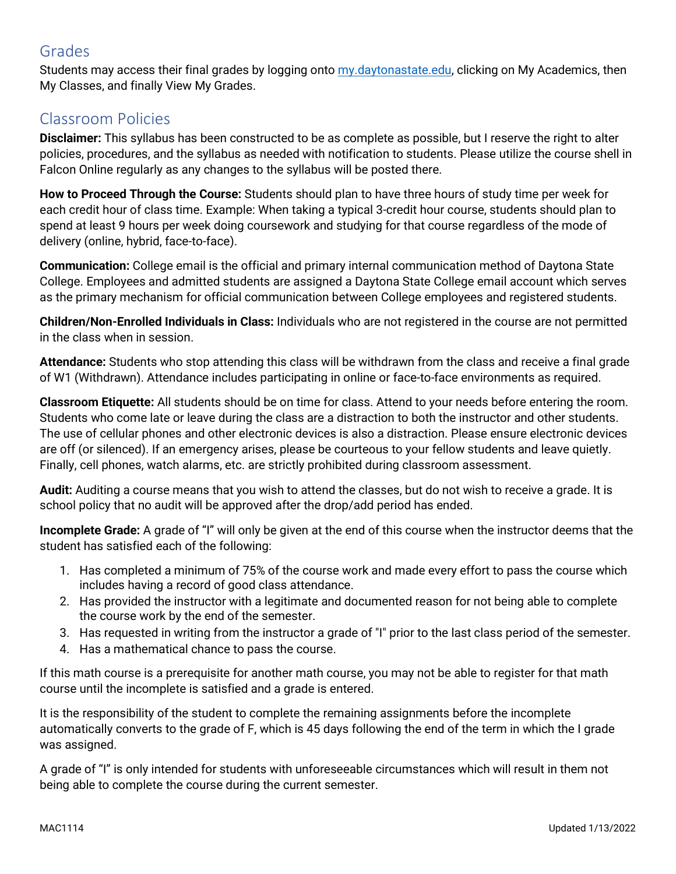# Grades

Students may access their final grades by logging onto [my.daytonastate.edu,](https://my.daytonastate.edu/) clicking on My Academics, then My Classes, and finally View My Grades.

# Classroom Policies

**Disclaimer:** This syllabus has been constructed to be as complete as possible, but I reserve the right to alter policies, procedures, and the syllabus as needed with notification to students. Please utilize the course shell in Falcon Online regularly as any changes to the syllabus will be posted there.

**How to Proceed Through the Course:** Students should plan to have three hours of study time per week for each credit hour of class time. Example: When taking a typical 3-credit hour course, students should plan to spend at least 9 hours per week doing coursework and studying for that course regardless of the mode of delivery (online, hybrid, face-to-face).

**Communication:** College email is the official and primary internal communication method of Daytona State College. Employees and admitted students are assigned a Daytona State College email account which serves as the primary mechanism for official communication between College employees and registered students.

**Children/Non-Enrolled Individuals in Class:** Individuals who are not registered in the course are not permitted in the class when in session.

**Attendance:** Students who stop attending this class will be withdrawn from the class and receive a final grade of W1 (Withdrawn). Attendance includes participating in online or face-to-face environments as required.

**Classroom Etiquette:** All students should be on time for class. Attend to your needs before entering the room. Students who come late or leave during the class are a distraction to both the instructor and other students. The use of cellular phones and other electronic devices is also a distraction. Please ensure electronic devices are off (or silenced). If an emergency arises, please be courteous to your fellow students and leave quietly. Finally, cell phones, watch alarms, etc. are strictly prohibited during classroom assessment.

**Audit:** Auditing a course means that you wish to attend the classes, but do not wish to receive a grade. It is school policy that no audit will be approved after the drop/add period has ended.

**Incomplete Grade:** A grade of "I" will only be given at the end of this course when the instructor deems that the student has satisfied each of the following:

- 1. Has completed a minimum of 75% of the course work and made every effort to pass the course which includes having a record of good class attendance.
- 2. Has provided the instructor with a legitimate and documented reason for not being able to complete the course work by the end of the semester.
- 3. Has requested in writing from the instructor a grade of "I" prior to the last class period of the semester.
- 4. Has a mathematical chance to pass the course.

If this math course is a prerequisite for another math course, you may not be able to register for that math course until the incomplete is satisfied and a grade is entered.

It is the responsibility of the student to complete the remaining assignments before the incomplete automatically converts to the grade of F, which is 45 days following the end of the term in which the I grade was assigned.

A grade of "I" is only intended for students with unforeseeable circumstances which will result in them not being able to complete the course during the current semester.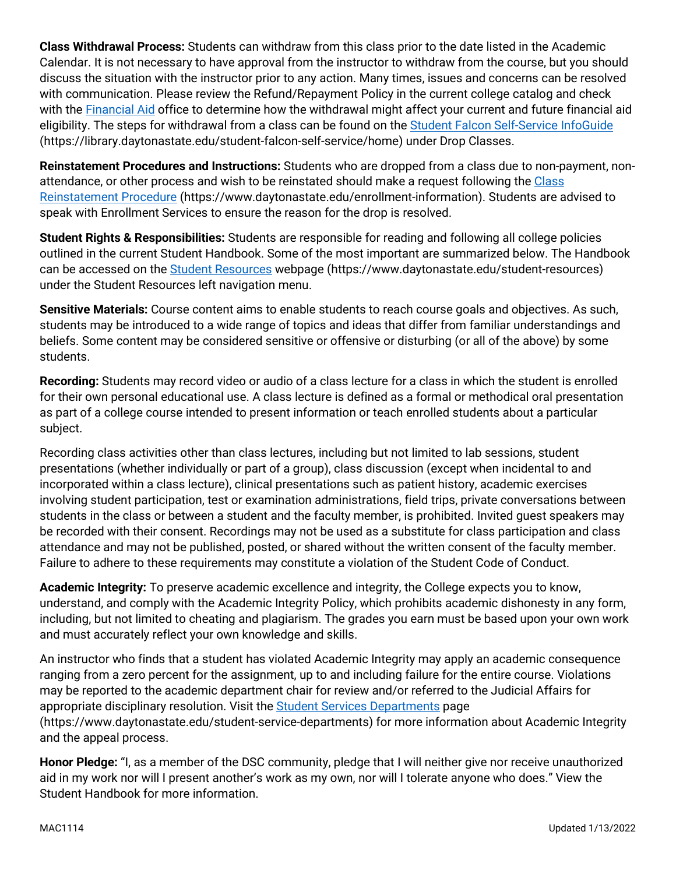**Class Withdrawal Process:** Students can withdraw from this class prior to the date listed in the Academic Calendar. It is not necessary to have approval from the instructor to withdraw from the course, but you should discuss the situation with the instructor prior to any action. Many times, issues and concerns can be resolved with communication. Please review the Refund/Repayment Policy in the current college catalog and check with the [Financial Aid](https://www.daytonastate.edu/financial-aid) office to determine how the withdrawal might affect your current and future financial aid eligibility. The steps for withdrawal from a class can be found on the **Student Falcon Self-Service InfoGuide** (https://library.daytonastate.edu/student-falcon-self-service/home) under Drop Classes.

**Reinstatement Procedures and Instructions:** Students who are dropped from a class due to non-payment, nonattendance, or other process and wish to be reinstated should make a request following the Class [Reinstatement Procedure](https://www.daytonastate.edu/enrollment-information/index.html) (https://www.daytonastate.edu/enrollment-information). Students are advised to speak with Enrollment Services to ensure the reason for the drop is resolved.

**Student Rights & Responsibilities:** Students are responsible for reading and following all college policies outlined in the current Student Handbook. Some of the most important are summarized below. The Handbook can be accessed on the [Student Resources](https://www.daytonastate.edu/student-resources) webpage (https://www.daytonastate.edu/student-resources) under the Student Resources left navigation menu.

**Sensitive Materials:** Course content aims to enable students to reach course goals and objectives. As such, students may be introduced to a wide range of topics and ideas that differ from familiar understandings and beliefs. Some content may be considered sensitive or offensive or disturbing (or all of the above) by some students.

**Recording:** Students may record video or audio of a class lecture for a class in which the student is enrolled for their own personal educational use. A class lecture is defined as a formal or methodical oral presentation as part of a college course intended to present information or teach enrolled students about a particular subject.

Recording class activities other than class lectures, including but not limited to lab sessions, student presentations (whether individually or part of a group), class discussion (except when incidental to and incorporated within a class lecture), clinical presentations such as patient history, academic exercises involving student participation, test or examination administrations, field trips, private conversations between students in the class or between a student and the faculty member, is prohibited. Invited guest speakers may be recorded with their consent. Recordings may not be used as a substitute for class participation and class attendance and may not be published, posted, or shared without the written consent of the faculty member. Failure to adhere to these requirements may constitute a violation of the Student Code of Conduct.

**Academic Integrity:** To preserve academic excellence and integrity, the College expects you to know, understand, and comply with the Academic Integrity Policy, which prohibits academic dishonesty in any form, including, but not limited to cheating and plagiarism. The grades you earn must be based upon your own work and must accurately reflect your own knowledge and skills.

An instructor who finds that a student has violated Academic Integrity may apply an academic consequence ranging from a zero percent for the assignment, up to and including failure for the entire course. Violations may be reported to the academic department chair for review and/or referred to the Judicial Affairs for appropriate disciplinary resolution. Visit the [Student Services Departments](https://www.daytonastate.edu/student-service-departments) page (https://www.daytonastate.edu/student-service-departments) for more information about Academic Integrity and the appeal process.

**Honor Pledge:** "I, as a member of the DSC community, pledge that I will neither give nor receive unauthorized aid in my work nor will I present another's work as my own, nor will I tolerate anyone who does." View the Student Handbook for more information.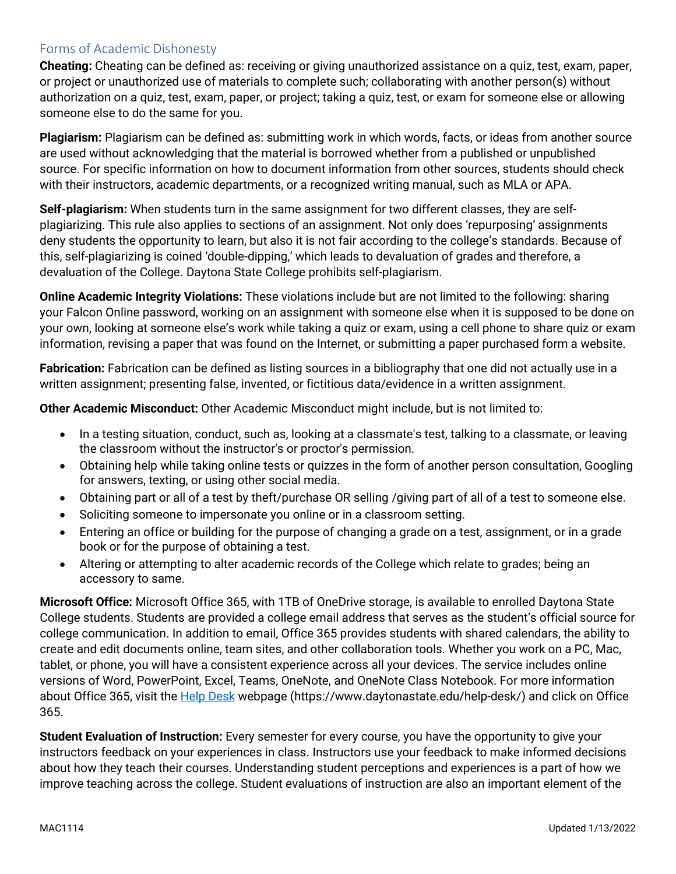### Forms of Academic Dishonesty

**Cheating:** Cheating can be defined as: receiving or giving unauthorized assistance on a quiz, test, exam, paper, or project or unauthorized use of materials to complete such; collaborating with another person(s) without authorization on a quiz, test, exam, paper, or project; taking a quiz, test, or exam for someone else or allowing someone else to do the same for you.

**Plagiarism:** Plagiarism can be defined as: submitting work in which words, facts, or ideas from another source are used without acknowledging that the material is borrowed whether from a published or unpublished source. For specific information on how to document information from other sources, students should check with their instructors, academic departments, or a recognized writing manual, such as MLA or APA.

**Self-plagiarism:** When students turn in the same assignment for two different classes, they are selfplagiarizing. This rule also applies to sections of an assignment. Not only does 'repurposing' assignments deny students the opportunity to learn, but also it is not fair according to the college's standards. Because of this, self-plagiarizing is coined 'double-dipping,' which leads to devaluation of grades and therefore, a devaluation of the College. Daytona State College prohibits self-plagiarism.

**Online Academic Integrity Violations:** These violations include but are not limited to the following: sharing your Falcon Online password, working on an assignment with someone else when it is supposed to be done on your own, looking at someone else's work while taking a quiz or exam, using a cell phone to share quiz or exam information, revising a paper that was found on the Internet, or submitting a paper purchased form a website.

**Fabrication:** Fabrication can be defined as listing sources in a bibliography that one did not actually use in a written assignment; presenting false, invented, or fictitious data/evidence in a written assignment.

**Other Academic Misconduct:** Other Academic Misconduct might include, but is not limited to:

- In a testing situation, conduct, such as, looking at a classmate's test, talking to a classmate, or leaving the classroom without the instructor's or proctor's permission.
- Obtaining help while taking online tests or quizzes in the form of another person consultation, Googling for answers, texting, or using other social media.
- Obtaining part or all of a test by theft/purchase OR selling /giving part of all of a test to someone else.
- Soliciting someone to impersonate you online or in a classroom setting.
- Entering an office or building for the purpose of changing a grade on a test, assignment, or in a grade book or for the purpose of obtaining a test.
- Altering or attempting to alter academic records of the College which relate to grades; being an accessory to same.

**Microsoft Office:** Microsoft Office 365, with 1TB of OneDrive storage, is available to enrolled Daytona State College students. Students are provided a college email address that serves as the student's official source for college communication. In addition to email, Office 365 provides students with shared calendars, the ability to create and edit documents online, team sites, and other collaboration tools. Whether you work on a PC, Mac, tablet, or phone, you will have a consistent experience across all your devices. The service includes online versions of Word, PowerPoint, Excel, Teams, OneNote, and OneNote Class Notebook. For more information about Office 365, visit the **Help Desk** webpage (https://www.daytonastate.edu/help-desk/) and click on Office 365.

**Student Evaluation of Instruction:** Every semester for every course, you have the opportunity to give your instructors feedback on your experiences in class. Instructors use your feedback to make informed decisions about how they teach their courses. Understanding student perceptions and experiences is a part of how we improve teaching across the college. Student evaluations of instruction are also an important element of the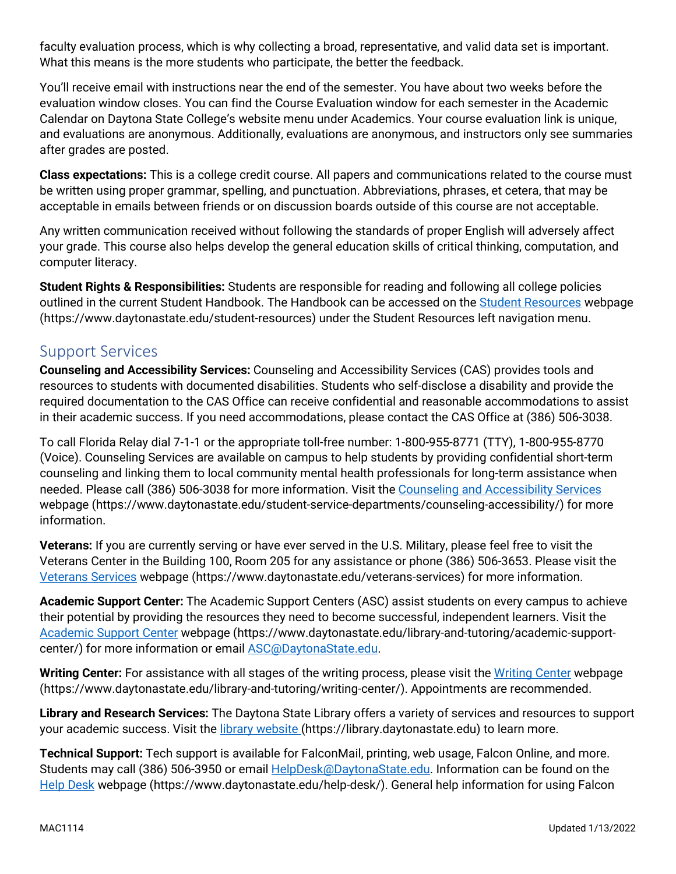faculty evaluation process, which is why collecting a broad, representative, and valid data set is important. What this means is the more students who participate, the better the feedback.

You'll receive email with instructions near the end of the semester. You have about two weeks before the evaluation window closes. You can find the Course Evaluation window for each semester in the Academic Calendar on Daytona State College's website menu under Academics. Your course evaluation link is unique, and evaluations are anonymous. Additionally, evaluations are anonymous, and instructors only see summaries after grades are posted.

**Class expectations:** This is a college credit course. All papers and communications related to the course must be written using proper grammar, spelling, and punctuation. Abbreviations, phrases, et cetera, that may be acceptable in emails between friends or on discussion boards outside of this course are not acceptable.

Any written communication received without following the standards of proper English will adversely affect your grade. This course also helps develop the general education skills of critical thinking, computation, and computer literacy.

**Student Rights & Responsibilities:** Students are responsible for reading and following all college policies outlined in the current Student Handbook. The Handbook can be accessed on the [Student Resources](https://www.daytonastate.edu/student-resources) webpage (https://www.daytonastate.edu/student-resources) under the Student Resources left navigation menu.

## Support Services

**Counseling and Accessibility Services:** Counseling and Accessibility Services (CAS) provides tools and resources to students with documented disabilities. Students who self-disclose a disability and provide the required documentation to the CAS Office can receive confidential and reasonable accommodations to assist in their academic success. If you need accommodations, please contact the CAS Office at (386) 506-3038.

To call Florida Relay dial 7-1-1 or the appropriate toll-free number: 1-800-955-8771 (TTY), 1-800-955-8770 (Voice). Counseling Services are available on campus to help students by providing confidential short-term counseling and linking them to local community mental health professionals for long-term assistance when needed. Please call (386) 506-3038 for more information. Visit the [Counseling and Accessibility Services](https://www.daytonastate.edu/student-service-departments/counseling-accessibility/) webpage (https://www.daytonastate.edu/student-service-departments/counseling-accessibility/) for more information.

**Veterans:** If you are currently serving or have ever served in the U.S. Military, please feel free to visit the Veterans Center in the Building 100, Room 205 for any assistance or phone (386) 506-3653. Please visit the [Veterans Services](https://www.daytonastate.edu/veterans-services) webpage (https://www.daytonastate.edu/veterans-services) for more information.

**Academic Support Center:** The Academic Support Centers (ASC) assist students on every campus to achieve their potential by providing the resources they need to become successful, independent learners. Visit the [Academic Support Center](https://www.daytonastate.edu/library-and-tutoring/academic-support-center/index.html) webpage (https://www.daytonastate.edu/library-and-tutoring/academic-supportcenter/) for more information or email **ASC@DaytonaState.edu**.

Writing Center: For assistance with all stages of the writing process, please visit the [Writing Center](https://www.daytonastate.edu/library-and-tutoring/writing-center/) webpage (https://www.daytonastate.edu/library-and-tutoring/writing-center/). Appointments are recommended.

**Library and Research Services:** The Daytona State Library offers a variety of services and resources to support your academic success. Visit the [library website \(](https://library.daytonastate.edu/index)https://library.daytonastate.edu) to learn more.

**Technical Support:** Tech support is available for FalconMail, printing, web usage, Falcon Online, and more. Students may call (386) 506-3950 or email **HelpDesk@DaytonaState.edu**. Information can be found on the [Help Desk](https://www.daytonastate.edu/help-desk/) webpage (https://www.daytonastate.edu/help-desk/). General help information for using Falcon